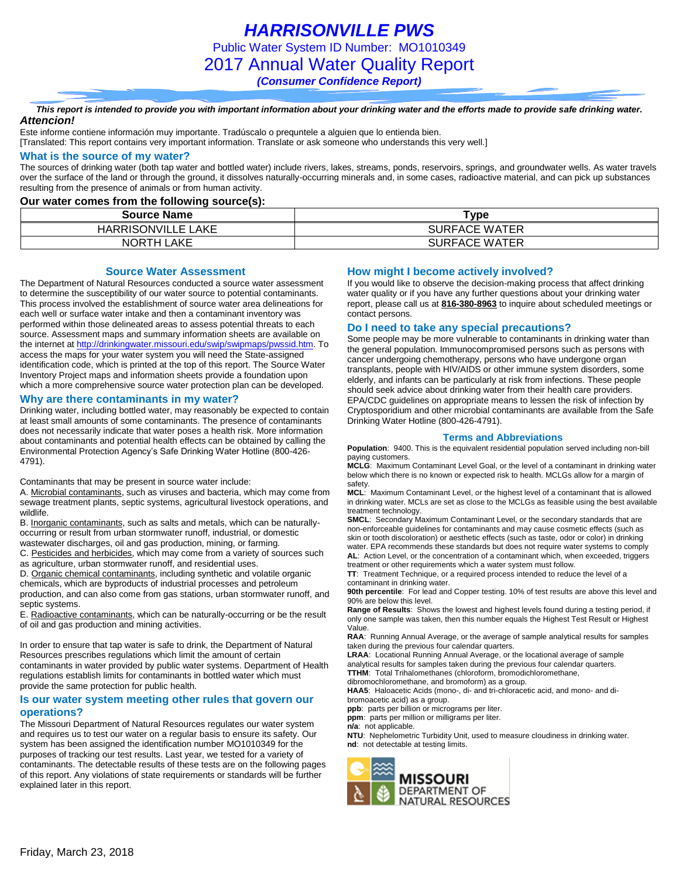*HARRISONVILLE PWS* Public Water System ID Number: MO1010349 2017 Annual Water Quality Report *(Consumer Confidence Report)*

*This report is intended to provide you with important information about your drinking water and the efforts made to provide safe drinking water. Attencion!*

Este informe contiene información muy importante. Tradúscalo o prequntele a alguien que lo entienda bien.

[Translated: This report contains very important information. Translate or ask someone who understands this very well.]

### **What is the source of my water?**

The sources of drinking water (both tap water and bottled water) include rivers, lakes, streams, ponds, reservoirs, springs, and groundwater wells. As water travels over the surface of the land or through the ground, it dissolves naturally-occurring minerals and, in some cases, radioactive material, and can pick up substances resulting from the presence of animals or from human activity.

#### **Our water comes from the following source(s):**

| <b>Source Name</b>        | Type                 |
|---------------------------|----------------------|
| <b>HARRISONVILLE LAKE</b> | <b>SURFACE WATER</b> |
| <b>NORTH LAKE</b>         | <b>SURFACE WATER</b> |

**Source Water Assessment**

The Department of Natural Resources conducted a source water assessment to determine the susceptibility of our water source to potential contaminants. This process involved the establishment of source water area delineations for each well or surface water intake and then a contaminant inventory was performed within those delineated areas to assess potential threats to each source. Assessment maps and summary information sheets are available on the internet a[t http://drinkingwater.missouri.edu/swip/swipmaps/pwssid.htm.](http://drinkingwater.missouri.edu/swip/swipmaps/pwssid.htm) To access the maps for your water system you will need the State-assigned identification code, which is printed at the top of this report. The Source Water Inventory Project maps and information sheets provide a foundation upon which a more comprehensive source water protection plan can be developed.

#### **Why are there contaminants in my water?**

Drinking water, including bottled water, may reasonably be expected to contain at least small amounts of some contaminants. The presence of contaminants does not necessarily indicate that water poses a health risk. More information about contaminants and potential health effects can be obtained by calling the Environmental Protection Agency's Safe Drinking Water Hotline (800-426- 4791).

Contaminants that may be present in source water include:

A. Microbial contaminants, such as viruses and bacteria, which may come from sewage treatment plants, septic systems, agricultural livestock operations, and wildlife.

B. Inorganic contaminants, such as salts and metals, which can be naturallyoccurring or result from urban stormwater runoff, industrial, or domestic wastewater discharges, oil and gas production, mining, or farming.

C. Pesticides and herbicides, which may come from a variety of sources such as agriculture, urban stormwater runoff, and residential uses.

D. Organic chemical contaminants, including synthetic and volatile organic chemicals, which are byproducts of industrial processes and petroleum production, and can also come from gas stations, urban stormwater runoff, and septic systems.

E. Radioactive contaminants, which can be naturally-occurring or be the result of oil and gas production and mining activities.

In order to ensure that tap water is safe to drink, the Department of Natural Resources prescribes regulations which limit the amount of certain contaminants in water provided by public water systems. Department of Health regulations establish limits for contaminants in bottled water which must provide the same protection for public health.

### **Is our water system meeting other rules that govern our operations?**

The Missouri Department of Natural Resources regulates our water system and requires us to test our water on a regular basis to ensure its safety. Our system has been assigned the identification number MO1010349 for the purposes of tracking our test results. Last year, we tested for a variety of contaminants. The detectable results of these tests are on the following pages of this report. Any violations of state requirements or standards will be further explained later in this report.

#### **How might I become actively involved?**

If you would like to observe the decision-making process that affect drinking water quality or if you have any further questions about your drinking water report, please call us at **816-380-8963** to inquire about scheduled meetings or contact persons.

### **Do I need to take any special precautions?**

Some people may be more vulnerable to contaminants in drinking water than the general population. Immunocompromised persons such as persons with cancer undergoing chemotherapy, persons who have undergone organ transplants, people with HIV/AIDS or other immune system disorders, some elderly, and infants can be particularly at risk from infections. These people should seek advice about drinking water from their health care providers. EPA/CDC guidelines on appropriate means to lessen the risk of infection by Cryptosporidium and other microbial contaminants are available from the Safe Drinking Water Hotline (800-426-4791).

#### **Terms and Abbreviations**

**Population:** 9400. This is the equivalent residential population served including non-bill paying customers.

**MCLG**: Maximum Contaminant Level Goal, or the level of a contaminant in drinking water below which there is no known or expected risk to health. MCLGs allow for a margin of safety.

**MCL**: Maximum Contaminant Level, or the highest level of a contaminant that is allowed in drinking water. MCLs are set as close to the MCLGs as feasible using the best available treatment technology.

**SMCL**: Secondary Maximum Contaminant Level, or the secondary standards that are non-enforceable guidelines for contaminants and may cause cosmetic effects (such as skin or tooth discoloration) or aesthetic effects (such as taste, odor or color) in drinking water. EPA recommends these standards but does not require water systems to comply **AL**: Action Level, or the concentration of a contaminant which, when exceeded, triggers treatment or other requirements which a water system must follow.

**TT**: Treatment Technique, or a required process intended to reduce the level of a contaminant in drinking water.

**90th percentile**: For lead and Copper testing. 10% of test results are above this level and 90% are below this level.

**Range of Results**: Shows the lowest and highest levels found during a testing period, if only one sample was taken, then this number equals the Highest Test Result or Highest Value.

**RAA**: Running Annual Average, or the average of sample analytical results for samples taken during the previous four calendar quarters.

**LRAA**: Locational Running Annual Average, or the locational average of sample analytical results for samples taken during the previous four calendar quarters. **TTHM**: Total Trihalomethanes (chloroform, bromodichloromethane,

dibromochloromethane, and bromoform) as a group.

**HAA5**: Haloacetic Acids (mono-, di- and tri-chloracetic acid, and mono- and dibromoacetic acid) as a group.

**ppb**: parts per billion or micrograms per liter.

**ppm**: parts per million or milligrams per liter.

**n/a**: not applicable.

**NTU**: Nephelometric Turbidity Unit, used to measure cloudiness in drinking water. **nd**: not detectable at testing limits.

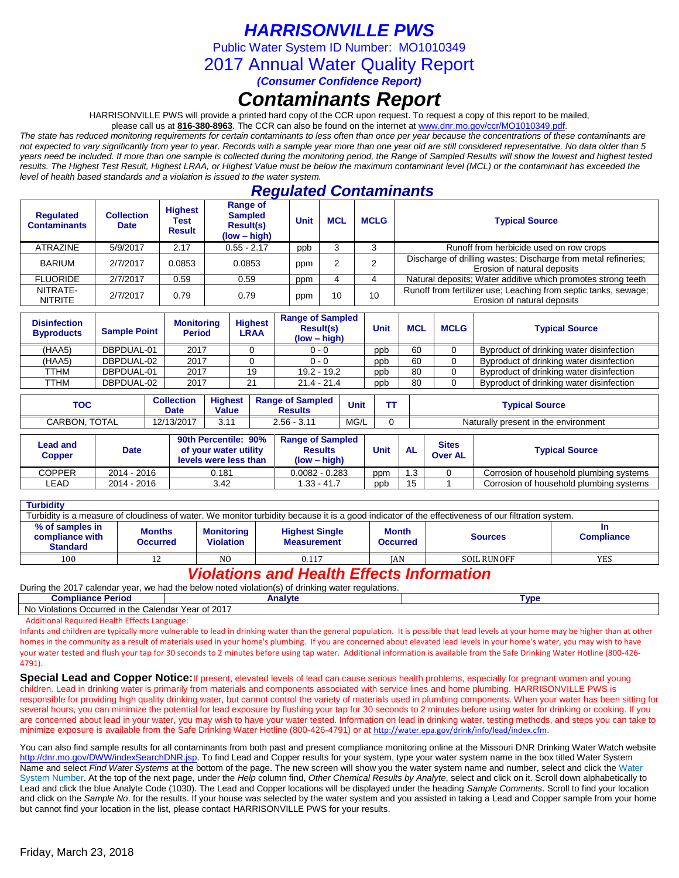*HARRISONVILLE PWS*

Public Water System ID Number: MO1010349

2017 Annual Water Quality Report

*(Consumer Confidence Report)*

# *Contaminants Report*

HARRISONVILLE PWS will provide a printed hard copy of the CCR upon request. To request a copy of this report to be mailed,

please call us at **816-380-8963***.* The CCR can also be found on the internet at www.dnr.mo.gov/ccr/MO1010349.pdf.

*The state has reduced monitoring requirements for certain contaminants to less often than once per year because the concentrations of these contaminants are not expected to vary significantly from year to year. Records with a sample year more than one year old are still considered representative. No data older than 5 years need be included. If more than one sample is collected during the monitoring period, the Range of Sampled Results will show the lowest and highest tested results. The Highest Test Result, Highest LRAA, or Highest Value must be below the maximum contaminant level (MCL) or the contaminant has exceeded the level of health based standards and a violation is issued to the water system.* 

# *Regulated Contaminants*

| <b>Requlated</b><br><b>Contaminants</b> | <b>Collection</b><br><b>Date</b> | <b>Highest</b><br>Test<br><b>Result</b> | Range of<br><b>Sampled</b><br><b>Result(s)</b><br>$(low - high)$ | <b>Unit</b> | <b>MCL</b> | <b>MCLG</b> | <b>Typical Source</b>                                                                          |
|-----------------------------------------|----------------------------------|-----------------------------------------|------------------------------------------------------------------|-------------|------------|-------------|------------------------------------------------------------------------------------------------|
| ATRAZINE                                | 5/9/2017                         | 2.17                                    | $0.55 - 2.17$                                                    | ppb         |            |             | Runoff from herbicide used on row crops                                                        |
| <b>BARIUM</b>                           | 2/7/2017                         | 0.0853                                  | 0.0853                                                           | ppm         |            |             | Discharge of drilling wastes; Discharge from metal refineries;<br>Erosion of natural deposits  |
| <b>FLUORIDE</b>                         | 2/7/2017                         | 0.59                                    | 0.59                                                             | ppm         |            |             | Natural deposits; Water additive which promotes strong teeth                                   |
| NITRATE-<br><b>NITRITE</b>              | 2/7/2017                         | 0.79                                    | 0.79                                                             | ppm         | 10         | 10          | Runoff from fertilizer use; Leaching from septic tanks, sewage;<br>Erosion of natural deposits |

| <b>Disinfection</b><br><b>Byproducts</b> | <b>Sample Point</b> | <b>Monitoring</b><br><b>Period</b> | <b>Highest</b><br>LRAA | <b>Range of Sampled</b><br><b>Result(s)</b><br>$(low - high)$ | Unit | <b>MCL</b> | <b>MCLG</b> | <b>Typical Source</b>                    |
|------------------------------------------|---------------------|------------------------------------|------------------------|---------------------------------------------------------------|------|------------|-------------|------------------------------------------|
| (HAA5)                                   | DBPDUAL-01          | 2017                               |                        | $0 - 0$                                                       | ppb  | 60         |             | Byproduct of drinking water disinfection |
| (HAA5)                                   | DBPDUAL-02          | 2017                               |                        | 0 - 0                                                         | ppb  | 60         |             | Byproduct of drinking water disinfection |
| TTHM                                     | DBPDUAL-01          | 2017                               | 19                     | $19.2 - 19.2$                                                 | ppb  | 80         |             | Byproduct of drinking water disinfection |
| TTHM                                     | DBPDUAL-02          | 2017                               | 21                     | $21.4 - 21.4$                                                 | ppb  | 80         |             | Byproduct of drinking water disinfection |

| TO 0<br>טע              | <b>Collection</b><br>Date | <b>Highest</b><br><b>Value</b> | <b>Range of Sampled</b><br><b>Results</b> | <b>Unit</b> | <b>Typical Source</b>                |
|-------------------------|---------------------------|--------------------------------|-------------------------------------------|-------------|--------------------------------------|
| <b>TOTAL</b><br>CARBON. | 12/13/2017                | $\overline{A}$<br>◡.           | 2.56<br>244<br>، ا. ب                     | MG/L        | Naturally present in the environment |

| Lead and<br>Copper | Date        | 90th Percentile: 90%<br>of your water utility<br>levels were less than | <b>Range of Sampled</b><br><b>Results</b><br>$(low - high)$ | Unit | <b>AL</b> | <b>Sites</b><br><b>Over AL</b> | <b>Typical Source</b>                   |
|--------------------|-------------|------------------------------------------------------------------------|-------------------------------------------------------------|------|-----------|--------------------------------|-----------------------------------------|
| <b>COPPER</b>      | 2014 - 2016 | 0.181                                                                  | $0.0082 - 0.283$                                            | ppm  | .3        |                                | Corrosion of household plumbing systems |
| _EAD               | 2014 - 2016 | 3.42                                                                   | $1.33 - 41.7$                                               | ppb  | 15        |                                | Corrosion of household plumbing systems |

| <b>Turbidity</b>                                                                                                                                  |                                                                           |                |                                                                                |     |                    |                        |  |  |  |
|---------------------------------------------------------------------------------------------------------------------------------------------------|---------------------------------------------------------------------------|----------------|--------------------------------------------------------------------------------|-----|--------------------|------------------------|--|--|--|
| Turbidity is a measure of cloudiness of water. We monitor turbidity because it is a good indicator of the effectiveness of our filtration system. |                                                                           |                |                                                                                |     |                    |                        |  |  |  |
| % of samples in<br>compliance with<br><b>Standard</b>                                                                                             | <b>Months</b><br><b>Monitoring</b><br><b>Violation</b><br><b>Occurred</b> |                | <b>Month</b><br><b>Highest Single</b><br><b>Measurement</b><br><b>Occurred</b> |     | <b>Sources</b>     | ш<br><b>Compliance</b> |  |  |  |
| 100                                                                                                                                               |                                                                           | N <sub>O</sub> | 0.117                                                                          | IAN | <b>SOIL RUNOFF</b> | YES                    |  |  |  |

# *Violations and Health Effects Information*

|  |  | During the 2017 calendar year, we had the below noted violation(s) of drinking water regulations. |  |  |  |
|--|--|---------------------------------------------------------------------------------------------------|--|--|--|
|  |  |                                                                                                   |  |  |  |

| <b>Compliance</b><br>∖ Perioα                       | Analvte                             | <b>VDE</b> |
|-----------------------------------------------------|-------------------------------------|------------|
| No<br>⊢the<br>Calendar<br>'iolations<br>Occurred in | 201<br>Year⊾<br>$\sim$<br>ZU I<br>v |            |

Additional Required Health Effects Language:

Infants and children are typically more vulnerable to lead in drinking water than the general population. It is possible that lead levels at your home may be higher than at other homes in the community as a result of materials used in your home's plumbing. If you are concerned about elevated lead levels in your home's water, you may wish to have your water tested and flush your tap for 30 seconds to 2 minutes before using tap water. Additional information is available from the Safe Drinking Water Hotline (800-426- 4791).

**Special Lead and Copper Notice:**If present, elevated levels of lead can cause serious health problems, especially for pregnant women and young children. Lead in drinking water is primarily from materials and components associated with service lines and home plumbing. HARRISONVILLE PWS is responsible for providing high quality drinking water, but cannot control the variety of materials used in plumbing components. When your water has been sitting for several hours, you can minimize the potential for lead exposure by flushing your tap for 30 seconds to 2 minutes before using water for drinking or cooking. If you are concerned about lead in your water, you may wish to have your water tested. Information on lead in drinking water, testing methods, and steps you can take to minimize exposure is available from the Safe Drinking Water Hotline (800-426-4791) or at [http://water.epa.gov/drink/info/lead/index.cfm.](http://water.epa.gov/drink/info/lead/index.cfm)

You can also find sample results for all contaminants from both past and present compliance monitoring online at the Missouri DNR Drinking Water Watch website [http://dnr.mo.gov/DWW/indexSearchDNR.jsp.](http://dnr.mo.gov/DWW/indexSearchDNR.jsp) To find Lead and Copper results for your system, type your water system name in the box titled Water System Name and select *Find Water Systems* at the bottom of the page. The new screen will show you the water system name and number, select and click the Water System Number. At the top of the next page, under the *Help* column find, *Other Chemical Results by Analyte*, select and click on it. Scroll down alphabetically to Lead and click the blue Analyte Code (1030). The Lead and Copper locations will be displayed under the heading *Sample Comments*. Scroll to find your location and click on the *Sample No*. for the results. If your house was selected by the water system and you assisted in taking a Lead and Copper sample from your home but cannot find your location in the list, please contact HARRISONVILLE PWS for your results.